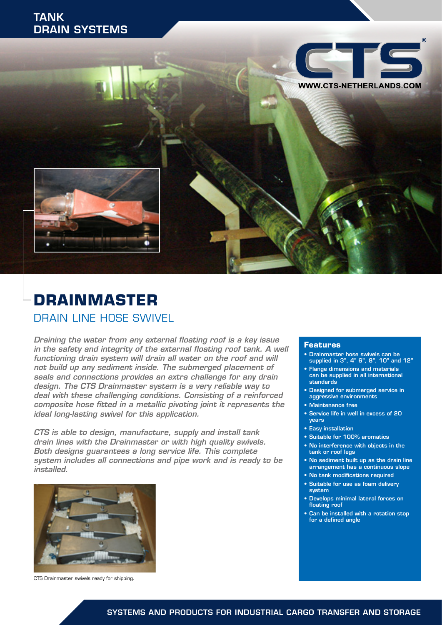## DRAIN SYSTEMS TANK



# **DRAINMASTER** DRAIN LINE HOSE SWIVEL

*Draining the water from any external floating roof is a key issue in the safety and integrity of the external floating roof tank. A well functioning drain system will drain all water on the roof and will not build up any sediment inside. The submerged placement of seals and connections provides an extra challenge for any drain design. The CTS Drainmaster system is a very reliable way to deal with these challenging conditions. Consisting of a reinforced composite hose fitted in a metallic pivoting joint it represents the ideal long-lasting swivel for this application.*

*CTS is able to design, manufacture, supply and install tank drain lines with the Drainmaster or with high quality swivels. Both designs guarantees a long service life. This complete system includes all connections and pipe work and is ready to be installed.* 



CTS Drainmaster swivels ready for shipping.

#### **Features**

- Drainmaster hose swivels can be supplied in 3", 4" 6", 8", 10" and 12"
- Flange dimensions and materials can be supplied in all international standards
- Designed for submerged service in aggressive environments
- Maintenance free
- Service life in well in excess of 20 years
- Easy installation
- Suitable for 100% aromatics
- No interference with objects in the tank or roof legs
- No sediment built up as the drain line arrangement has a continuous slope
- No tank modifications required
- Suitable for use as foam delivery system
- Develops minimal lateral forces on floating roof
- Can be installed with a rotation stop for a defined angle